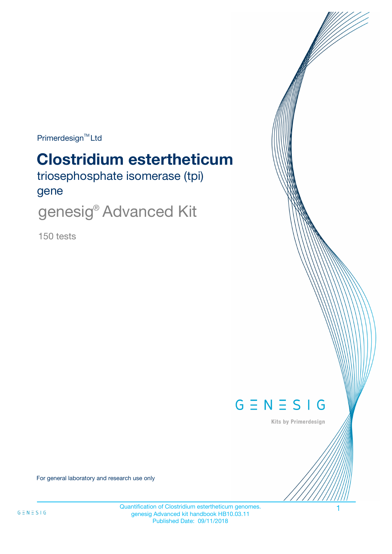$Primerdesign^{\text{TM}}$ Ltd

# **Clostridium estertheticum**

triosephosphate isomerase (tpi) gene

genesig® Advanced Kit

150 tests



Kits by Primerdesign

For general laboratory and research use only

Quantification of Clostridium estertheticum genomes. genesig Advanced kit handbook HB10.03.11 Published Date: 09/11/2018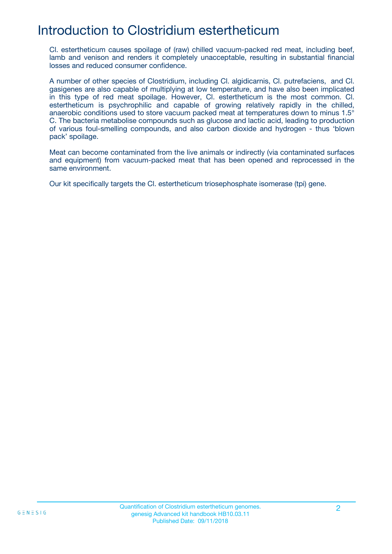# Introduction to Clostridium estertheticum

Cl. estertheticum causes spoilage of (raw) chilled vacuum-packed red meat, including beef, lamb and venison and renders it completely unacceptable, resulting in substantial financial losses and reduced consumer confidence.

A number of other species of Clostridium, including Cl. algidicarnis, Cl. putrefaciens, and Cl. gasigenes are also capable of multiplying at low temperature, and have also been implicated in this type of red meat spoilage. However, Cl. estertheticum is the most common. Cl. estertheticum is psychrophilic and capable of growing relatively rapidly in the chilled, anaerobic conditions used to store vacuum packed meat at temperatures down to minus 1.5° C. The bacteria metabolise compounds such as glucose and lactic acid, leading to production of various foul-smelling compounds, and also carbon dioxide and hydrogen - thus 'blown pack' spoilage.

Meat can become contaminated from the live animals or indirectly (via contaminated surfaces and equipment) from vacuum-packed meat that has been opened and reprocessed in the same environment.

Our kit specifically targets the Cl. estertheticum triosephosphate isomerase (tpi) gene.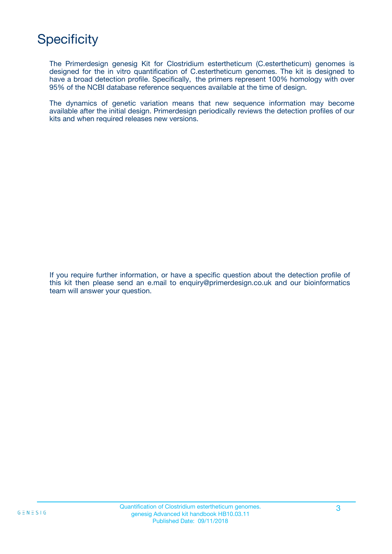# **Specificity**

The Primerdesign genesig Kit for Clostridium estertheticum (C.estertheticum) genomes is designed for the in vitro quantification of C.estertheticum genomes. The kit is designed to have a broad detection profile. Specifically, the primers represent 100% homology with over 95% of the NCBI database reference sequences available at the time of design.

The dynamics of genetic variation means that new sequence information may become available after the initial design. Primerdesign periodically reviews the detection profiles of our kits and when required releases new versions.

If you require further information, or have a specific question about the detection profile of this kit then please send an e.mail to enquiry@primerdesign.co.uk and our bioinformatics team will answer your question.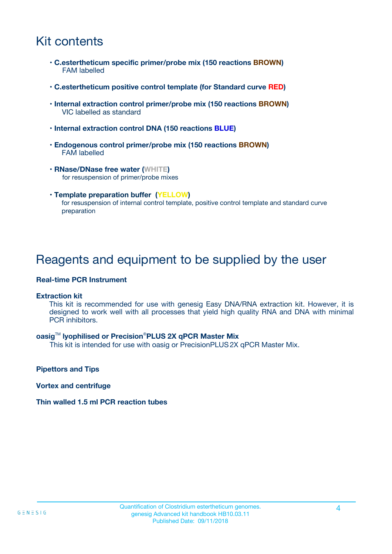# Kit contents

- **C.estertheticum specific primer/probe mix (150 reactions BROWN)** FAM labelled
- **C.estertheticum positive control template (for Standard curve RED)**
- **Internal extraction control primer/probe mix (150 reactions BROWN)** VIC labelled as standard
- **Internal extraction control DNA (150 reactions BLUE)**
- **Endogenous control primer/probe mix (150 reactions BROWN)** FAM labelled
- **RNase/DNase free water (WHITE)** for resuspension of primer/probe mixes
- **Template preparation buffer (YELLOW)** for resuspension of internal control template, positive control template and standard curve preparation

### Reagents and equipment to be supplied by the user

#### **Real-time PCR Instrument**

#### **Extraction kit**

This kit is recommended for use with genesig Easy DNA/RNA extraction kit. However, it is designed to work well with all processes that yield high quality RNA and DNA with minimal PCR inhibitors.

#### **oasig**TM **lyophilised or Precision**®**PLUS 2X qPCR Master Mix**

This kit is intended for use with oasig or PrecisionPLUS2X qPCR Master Mix.

**Pipettors and Tips**

**Vortex and centrifuge**

#### **Thin walled 1.5 ml PCR reaction tubes**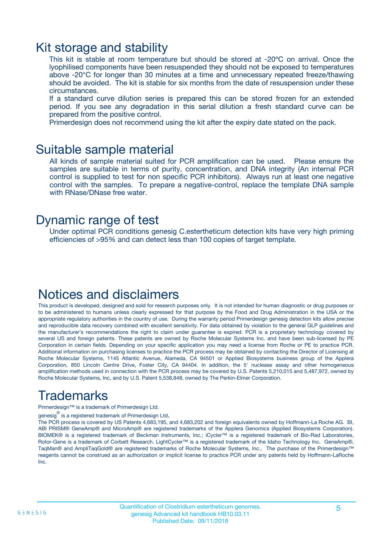### Kit storage and stability

This kit is stable at room temperature but should be stored at -20ºC on arrival. Once the lyophilised components have been resuspended they should not be exposed to temperatures above -20°C for longer than 30 minutes at a time and unnecessary repeated freeze/thawing should be avoided. The kit is stable for six months from the date of resuspension under these circumstances.

If a standard curve dilution series is prepared this can be stored frozen for an extended period. If you see any degradation in this serial dilution a fresh standard curve can be prepared from the positive control.

Primerdesign does not recommend using the kit after the expiry date stated on the pack.

### Suitable sample material

All kinds of sample material suited for PCR amplification can be used. Please ensure the samples are suitable in terms of purity, concentration, and DNA integrity (An internal PCR control is supplied to test for non specific PCR inhibitors). Always run at least one negative control with the samples. To prepare a negative-control, replace the template DNA sample with RNase/DNase free water.

### Dynamic range of test

Under optimal PCR conditions genesig C.estertheticum detection kits have very high priming efficiencies of >95% and can detect less than 100 copies of target template.

### Notices and disclaimers

This product is developed, designed and sold for research purposes only. It is not intended for human diagnostic or drug purposes or to be administered to humans unless clearly expressed for that purpose by the Food and Drug Administration in the USA or the appropriate regulatory authorities in the country of use. During the warranty period Primerdesign genesig detection kits allow precise and reproducible data recovery combined with excellent sensitivity. For data obtained by violation to the general GLP guidelines and the manufacturer's recommendations the right to claim under guarantee is expired. PCR is a proprietary technology covered by several US and foreign patents. These patents are owned by Roche Molecular Systems Inc. and have been sub-licensed by PE Corporation in certain fields. Depending on your specific application you may need a license from Roche or PE to practice PCR. Additional information on purchasing licenses to practice the PCR process may be obtained by contacting the Director of Licensing at Roche Molecular Systems, 1145 Atlantic Avenue, Alameda, CA 94501 or Applied Biosystems business group of the Applera Corporation, 850 Lincoln Centre Drive, Foster City, CA 94404. In addition, the 5' nuclease assay and other homogeneous amplification methods used in connection with the PCR process may be covered by U.S. Patents 5,210,015 and 5,487,972, owned by Roche Molecular Systems, Inc, and by U.S. Patent 5,538,848, owned by The Perkin-Elmer Corporation.

# Trademarks

Primerdesign™ is a trademark of Primerdesign Ltd.

genesig $^\circledR$  is a registered trademark of Primerdesign Ltd.

The PCR process is covered by US Patents 4,683,195, and 4,683,202 and foreign equivalents owned by Hoffmann-La Roche AG. BI, ABI PRISM® GeneAmp® and MicroAmp® are registered trademarks of the Applera Genomics (Applied Biosystems Corporation). BIOMEK® is a registered trademark of Beckman Instruments, Inc.; iCycler™ is a registered trademark of Bio-Rad Laboratories, Rotor-Gene is a trademark of Corbett Research. LightCycler™ is a registered trademark of the Idaho Technology Inc. GeneAmp®, TaqMan® and AmpliTaqGold® are registered trademarks of Roche Molecular Systems, Inc., The purchase of the Primerdesign™ reagents cannot be construed as an authorization or implicit license to practice PCR under any patents held by Hoffmann-LaRoche Inc.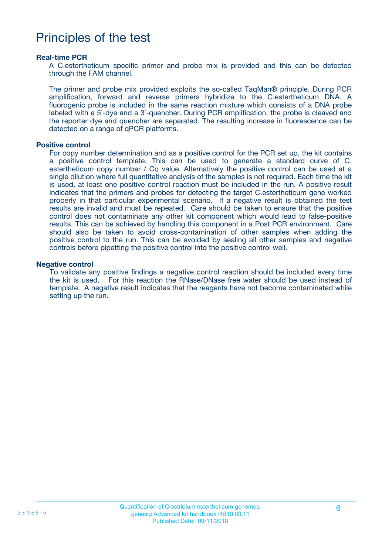## Principles of the test

#### **Real-time PCR**

A C.estertheticum specific primer and probe mix is provided and this can be detected through the FAM channel.

The primer and probe mix provided exploits the so-called TaqMan® principle. During PCR amplification, forward and reverse primers hybridize to the C.estertheticum DNA. A fluorogenic probe is included in the same reaction mixture which consists of a DNA probe labeled with a 5`-dye and a 3`-quencher. During PCR amplification, the probe is cleaved and the reporter dye and quencher are separated. The resulting increase in fluorescence can be detected on a range of qPCR platforms.

#### **Positive control**

For copy number determination and as a positive control for the PCR set up, the kit contains a positive control template. This can be used to generate a standard curve of C. estertheticum copy number / Cq value. Alternatively the positive control can be used at a single dilution where full quantitative analysis of the samples is not required. Each time the kit is used, at least one positive control reaction must be included in the run. A positive result indicates that the primers and probes for detecting the target C.estertheticum gene worked properly in that particular experimental scenario. If a negative result is obtained the test results are invalid and must be repeated. Care should be taken to ensure that the positive control does not contaminate any other kit component which would lead to false-positive results. This can be achieved by handling this component in a Post PCR environment. Care should also be taken to avoid cross-contamination of other samples when adding the positive control to the run. This can be avoided by sealing all other samples and negative controls before pipetting the positive control into the positive control well.

#### **Negative control**

To validate any positive findings a negative control reaction should be included every time the kit is used. For this reaction the RNase/DNase free water should be used instead of template. A negative result indicates that the reagents have not become contaminated while setting up the run.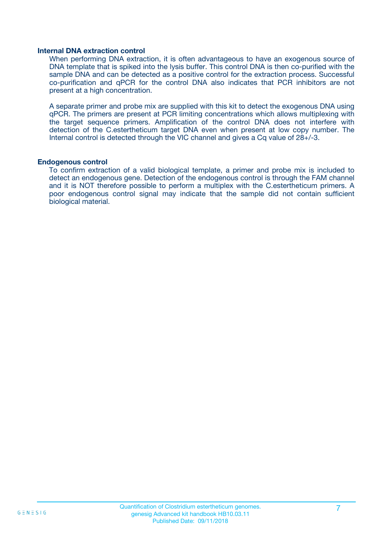#### **Internal DNA extraction control**

When performing DNA extraction, it is often advantageous to have an exogenous source of DNA template that is spiked into the lysis buffer. This control DNA is then co-purified with the sample DNA and can be detected as a positive control for the extraction process. Successful co-purification and qPCR for the control DNA also indicates that PCR inhibitors are not present at a high concentration.

A separate primer and probe mix are supplied with this kit to detect the exogenous DNA using qPCR. The primers are present at PCR limiting concentrations which allows multiplexing with the target sequence primers. Amplification of the control DNA does not interfere with detection of the C.estertheticum target DNA even when present at low copy number. The Internal control is detected through the VIC channel and gives a Cq value of 28+/-3.

#### **Endogenous control**

To confirm extraction of a valid biological template, a primer and probe mix is included to detect an endogenous gene. Detection of the endogenous control is through the FAM channel and it is NOT therefore possible to perform a multiplex with the C.estertheticum primers. A poor endogenous control signal may indicate that the sample did not contain sufficient biological material.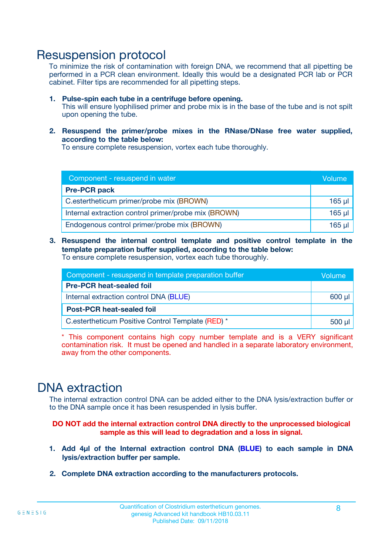### Resuspension protocol

To minimize the risk of contamination with foreign DNA, we recommend that all pipetting be performed in a PCR clean environment. Ideally this would be a designated PCR lab or PCR cabinet. Filter tips are recommended for all pipetting steps.

- **1. Pulse-spin each tube in a centrifuge before opening.** This will ensure lyophilised primer and probe mix is in the base of the tube and is not spilt upon opening the tube.
- **2. Resuspend the primer/probe mixes in the RNase/DNase free water supplied, according to the table below:**

To ensure complete resuspension, vortex each tube thoroughly.

| Component - resuspend in water                       |          |  |
|------------------------------------------------------|----------|--|
| <b>Pre-PCR pack</b>                                  |          |  |
| C.estertheticum primer/probe mix (BROWN)             | $165$ µl |  |
| Internal extraction control primer/probe mix (BROWN) | $165$ µl |  |
| Endogenous control primer/probe mix (BROWN)          | 165 µl   |  |

**3. Resuspend the internal control template and positive control template in the template preparation buffer supplied, according to the table below:** To ensure complete resuspension, vortex each tube thoroughly.

| Component - resuspend in template preparation buffer |  |  |  |
|------------------------------------------------------|--|--|--|
| <b>Pre-PCR heat-sealed foil</b>                      |  |  |  |
| Internal extraction control DNA (BLUE)               |  |  |  |
| <b>Post-PCR heat-sealed foil</b>                     |  |  |  |
| C.estertheticum Positive Control Template (RED) *    |  |  |  |

\* This component contains high copy number template and is a VERY significant contamination risk. It must be opened and handled in a separate laboratory environment, away from the other components.

### DNA extraction

The internal extraction control DNA can be added either to the DNA lysis/extraction buffer or to the DNA sample once it has been resuspended in lysis buffer.

**DO NOT add the internal extraction control DNA directly to the unprocessed biological sample as this will lead to degradation and a loss in signal.**

- **1. Add 4µl of the Internal extraction control DNA (BLUE) to each sample in DNA lysis/extraction buffer per sample.**
- **2. Complete DNA extraction according to the manufacturers protocols.**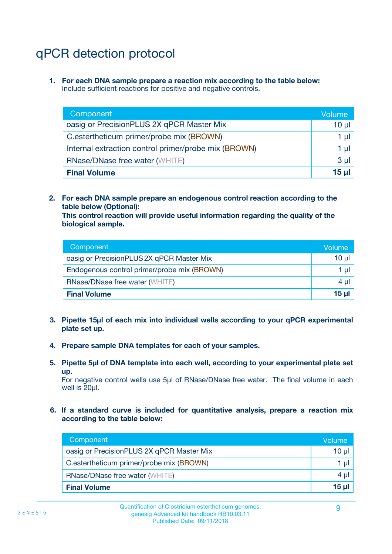# qPCR detection protocol

**1. For each DNA sample prepare a reaction mix according to the table below:** Include sufficient reactions for positive and negative controls.

| Component                                            | Volume   |
|------------------------------------------------------|----------|
| oasig or PrecisionPLUS 2X qPCR Master Mix            | $10 \mu$ |
| C.estertheticum primer/probe mix (BROWN)             | 1 µI     |
| Internal extraction control primer/probe mix (BROWN) | 1 µl     |
| <b>RNase/DNase free water (WHITE)</b>                | $3 \mu$  |
| <b>Final Volume</b>                                  | 15 µl    |

**2. For each DNA sample prepare an endogenous control reaction according to the table below (Optional):**

**This control reaction will provide useful information regarding the quality of the biological sample.**

| Component                                   | Volume          |
|---------------------------------------------|-----------------|
| oasig or PrecisionPLUS 2X qPCR Master Mix   | 10 <sub>µ</sub> |
| Endogenous control primer/probe mix (BROWN) | 1 µI            |
| <b>RNase/DNase free water (WHITE)</b>       | $4 \mu$         |
| <b>Final Volume</b>                         | 15 µl           |

- **3. Pipette 15µl of each mix into individual wells according to your qPCR experimental plate set up.**
- **4. Prepare sample DNA templates for each of your samples.**
- **5. Pipette 5µl of DNA template into each well, according to your experimental plate set up.**

For negative control wells use 5µl of RNase/DNase free water. The final volume in each well is 20ul.

**6. If a standard curve is included for quantitative analysis, prepare a reaction mix according to the table below:**

| Component                                 | Volume  |
|-------------------------------------------|---------|
| oasig or PrecisionPLUS 2X qPCR Master Mix | 10 µl   |
| C.estertheticum primer/probe mix (BROWN)  | 1 µI    |
| <b>RNase/DNase free water (WHITE)</b>     | $4 \mu$ |
| <b>Final Volume</b>                       | 15 µl   |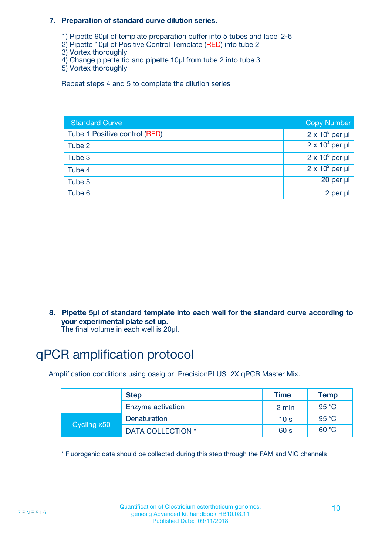#### **7. Preparation of standard curve dilution series.**

- 1) Pipette 90µl of template preparation buffer into 5 tubes and label 2-6
- 2) Pipette 10µl of Positive Control Template (RED) into tube 2
- 3) Vortex thoroughly
- 4) Change pipette tip and pipette 10µl from tube 2 into tube 3
- 5) Vortex thoroughly

Repeat steps 4 and 5 to complete the dilution series

| <b>Standard Curve</b>         | <b>Copy Number</b>     |
|-------------------------------|------------------------|
| Tube 1 Positive control (RED) | $2 \times 10^5$ per µl |
| Tube 2                        | $2 \times 10^4$ per µl |
| Tube 3                        | $2 \times 10^3$ per µl |
| Tube 4                        | $2 \times 10^2$ per µl |
| Tube 5                        | 20 per µl              |
| Tube 6                        | 2 per µl               |

**8. Pipette 5µl of standard template into each well for the standard curve according to your experimental plate set up.**

#### The final volume in each well is 20µl.

# qPCR amplification protocol

Amplification conditions using oasig or PrecisionPLUS 2X qPCR Master Mix.

|             | <b>Step</b>       | <b>Time</b>     | Temp    |
|-------------|-------------------|-----------------|---------|
|             | Enzyme activation | 2 min           | 95 °C   |
| Cycling x50 | Denaturation      | 10 <sub>s</sub> | 95 $°C$ |
|             | DATA COLLECTION * | 60 s            | 60 °C   |

\* Fluorogenic data should be collected during this step through the FAM and VIC channels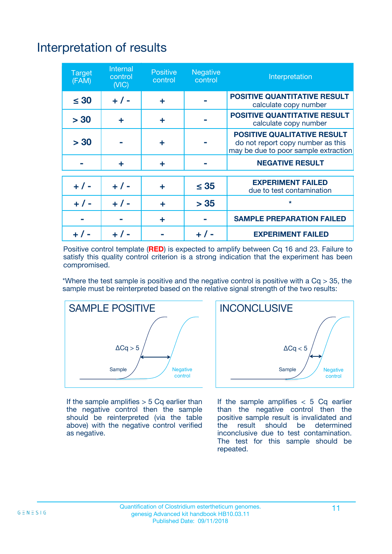# Interpretation of results

| <b>Target</b><br>(FAM) | <b>Internal</b><br>control<br>(NIC) | <b>Positive</b><br>control | <b>Negative</b><br>control | Interpretation                                                                                                  |
|------------------------|-------------------------------------|----------------------------|----------------------------|-----------------------------------------------------------------------------------------------------------------|
| $\leq 30$              | $+ 1 -$                             | ÷                          |                            | <b>POSITIVE QUANTITATIVE RESULT</b><br>calculate copy number                                                    |
| > 30                   | ٠                                   | ÷                          |                            | <b>POSITIVE QUANTITATIVE RESULT</b><br>calculate copy number                                                    |
| > 30                   |                                     | ÷                          |                            | <b>POSITIVE QUALITATIVE RESULT</b><br>do not report copy number as this<br>may be due to poor sample extraction |
|                        | ÷                                   | ÷                          |                            | <b>NEGATIVE RESULT</b>                                                                                          |
| $+ 1 -$                | $+ 1 -$                             | ÷                          | $\leq$ 35                  | <b>EXPERIMENT FAILED</b><br>due to test contamination                                                           |
| $+$ / -                | $+ 1 -$                             | ÷                          | > 35                       | $\star$                                                                                                         |
|                        |                                     | ÷                          |                            | <b>SAMPLE PREPARATION FAILED</b>                                                                                |
|                        |                                     |                            | $+$ /                      | <b>EXPERIMENT FAILED</b>                                                                                        |

Positive control template (**RED**) is expected to amplify between Cq 16 and 23. Failure to satisfy this quality control criterion is a strong indication that the experiment has been compromised.

\*Where the test sample is positive and the negative control is positive with a  $Ca > 35$ , the sample must be reinterpreted based on the relative signal strength of the two results:



If the sample amplifies  $> 5$  Cq earlier than the negative control then the sample should be reinterpreted (via the table above) with the negative control verified as negative.



If the sample amplifies  $< 5$  Cq earlier than the negative control then the positive sample result is invalidated and<br>the result should be determined  $the$  result should be inconclusive due to test contamination. The test for this sample should be repeated.